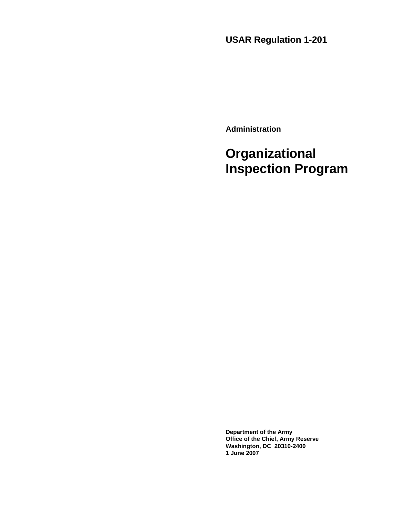**USAR Regulation 1-201** 

**Administration** 

# **Organizational Inspection Program**

**Department of the Army Office of the Chief, Army Reserve Washington, DC 20310-2400 1 June 2007**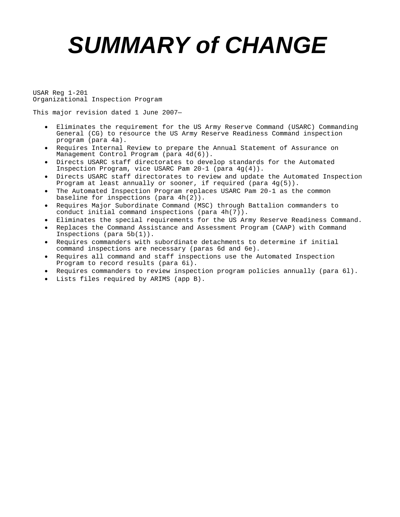# *SUMMARY of CHANGE*

USAR Reg 1-201 Organizational Inspection Program

This major revision dated 1 June 2007—

- Eliminates the requirement for the US Army Reserve Command (USARC) Commanding General (CG) to resource the US Army Reserve Readiness Command inspection program (para 4a).
- Requires Internal Review to prepare the Annual Statement of Assurance on Management Control Program (para 4d(6)).
- Directs USARC staff directorates to develop standards for the Automated Inspection Program, vice USARC Pam 20-1 (para 4g(4)).
- Directs USARC staff directorates to review and update the Automated Inspection Program at least annually or sooner, if required (para  $4g(5)$ ).
- The Automated Inspection Program replaces USARC Pam 20-1 as the common baseline for inspections (para 4h(2)).
- Requires Major Subordinate Command (MSC) through Battalion commanders to conduct initial command inspections (para 4h(7)).
- Eliminates the special requirements for the US Army Reserve Readiness Command.
- Replaces the Command Assistance and Assessment Program (CAAP) with Command Inspections (para 5b(1)).
- Requires commanders with subordinate detachments to determine if initial command inspections are necessary (paras 6d and 6e).
- Requires all command and staff inspections use the Automated Inspection Program to record results (para 6i).
- Requires commanders to review inspection program policies annually (para 6l).
- Lists files required by ARIMS (app B).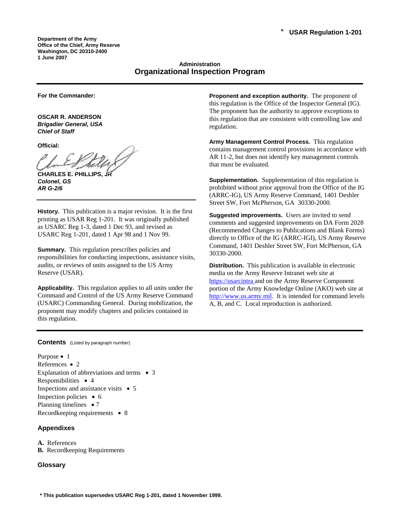**Department of the Army Office of the Chief, Army Reserve Washington, DC 20310-2400 1 June 2007** 

# **Administration Organizational Inspection Program**

**For the Commander:** 

**OSCAR R. ANDERSON**  *Brigadier General, USA Chief of Staff* 

**Official:** 

**CHARLES E. PHILLIPS** *Colonel, GS AR G-2/6* 

**History.** This publication is a major revision. It is the first printing as USAR Reg 1-201. It was originally published as USARC Reg 1-3, dated 1 Dec 93, and revised as USARC Reg 1-201, dated 1 Apr 98 and 1 Nov 99.

**Summary.** This regulation prescribes policies and responsibilities for conducting inspections, assistance visits, audits, or reviews of units assigned to the US Army Reserve (USAR).

**Applicability.** This regulation applies to all units under the Command and Control of the US Army Reserve Command (USARC) Commanding General. During mobilization, the proponent may modify chapters and policies contained in this regulation.

**Proponent and exception authority.** The proponent of this regulation is the Office of the Inspector General (IG). The proponent has the authority to approve exceptions to this regulation that are consistent with controlling law and regulation.

**Army Management Control Process.** This regulation contains management control provisions in accordance with AR 11-2, but does not identify key management controls that must be evaluated.

**Supplementation.** Supplementation of this regulation is prohibited without prior approval from the Office of the IG (ARRC-IG), US Army Reserve Command, 1401 Deshler Street SW, Fort McPherson, GA 30330-2000.

**Suggested improvements.** Users are invited to send comments and suggested improvements on DA Form 2028 (Recommended Changes to Publications and Blank Forms) directly to Office of the IG (ARRC-IGI), US Army Reserve Command, 1401 Deshler Street SW, Fort McPherson, GA 30330-2000.

**Distribution.** This publication is available in electronic media on the Army Reserve Intranet web site at https://usarcintra and on the Army Reserve Component portion of the Army Knowledge Online (AKO) web site at [http://www.us.army.mil](http://www.us.army.mil/). It is intended for command levels A, B, and C. Local reproduction is authorized.

**Contents** (Listed by paragraph number)

Purpose • 1 References • 2 Explanation of abbreviations and terms • 3 Responsibilities • 4 Inspections and assistance visits  $\bullet$  5 Inspection policies • 6 Planning timelines • 7 Recordkeeping requirements • 8

#### **Appendixes**

- **A.** References
- **B.** Recordkeeping Requirements

#### **Glossary**

**\* This publication supersedes USARC Reg 1-201, dated 1 November 1999.**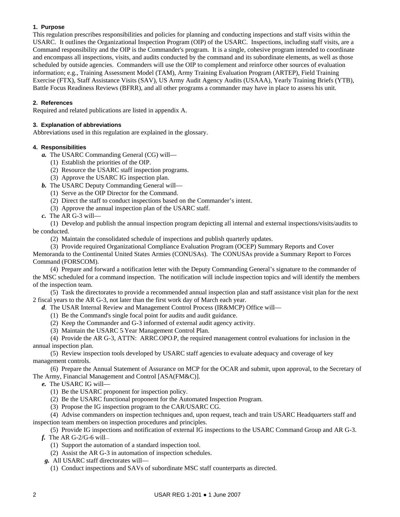### **1. Purpose**

This regulation prescribes responsibilities and policies for planning and conducting inspections and staff visits within the USARC. It outlines the Organizational Inspection Program (OIP) of the USARC. Inspections, including staff visits, are a Command responsibility and the OIP is the Commander's program. It is a single, cohesive program intended to coordinate and encompass all inspections, visits, and audits conducted by the command and its subordinate elements, as well as those scheduled by outside agencies. Commanders will use the OIP to complement and reinforce other sources of evaluation information; e.g., Training Assessment Model (TAM), Army Training Evaluation Program (ARTEP), Field Training Exercise (FTX), Staff Assistance Visits (SAV), US Army Audit Agency Audits (USAAA), Yearly Training Briefs (YTB), Battle Focus Readiness Reviews (BFRR), and all other programs a commander may have in place to assess his unit.

# **2. References**

Required and related publications are listed in appendix A.

#### **3. Explanation of abbreviations**

Abbreviations used in this regulation are explained in the glossary.

#### **4. Responsibilities**

- *a.* The USARC Commanding General (CG) will—
	- (1) Establish the priorities of the OIP.
	- (2) Resource the USARC staff inspection programs.
	- (3) Approve the USARC IG inspection plan.
- *b.* The USARC Deputy Commanding General will—
	- (1) Serve as the OIP Director for the Command.
	- (2) Direct the staff to conduct inspections based on the Commander's intent.
	- (3) Approve the annual inspection plan of the USARC staff.
- *c.* The AR G-3 will—

 (1) Develop and publish the annual inspection program depicting all internal and external inspections/visits/audits to be conducted.

(2) Maintain the consolidated schedule of inspections and publish quarterly updates.

 (3) Provide required Organizational Compliance Evaluation Program (OCEP) Summary Reports and Cover Memoranda to the Continental United States Armies (CONUSAs). The CONUSAs provide a Summary Report to Forces

Command (FORSCOM). (4) Prepare and forward a notification letter with the Deputy Commanding General's signature to the commander of the MSC scheduled for a command inspection. The notification will include inspection topics and will identify the members of the inspection team.

 (5) Task the directorates to provide a recommended annual inspection plan and staff assistance visit plan for the next 2 fiscal years to the AR G-3, not later than the first work day of March each year.

- *d*. The USAR Internal Review and Management Control Process (IR&MCP) Office will—
	- (1) Be the Command's single focal point for audits and audit guidance.
	- (2) Keep the Commander and G-3 informed of external audit agency activity.
	- (3) Maintain the USARC 5-Year Management Control Plan.

 (4) Provide the AR G-3, ATTN: ARRC-OPO-P, the required management control evaluations for inclusion in the annual inspection plan.

 (5) Review inspection tools developed by USARC staff agencies to evaluate adequacy and coverage of key management controls.

 (6) Prepare the Annual Statement of Assurance on MCP for the OCAR and submit, upon approval, to the Secretary of The Army, Financial Management and Control [ASA(FM&C)].

- *e.* The USARC IG will—
	- (1) Be the USARC proponent for inspection policy.
	- (2) Be the USARC functional proponent for the Automated Inspection Program.
	- (3) Propose the IG inspection program to the CAR/USARC CG.

 (4) Advise commanders on inspection techniques and, upon request, teach and train USARC Headquarters staff and inspection team members on inspection procedures and principles.

(5) Provide IG inspections and notification of external IG inspections to the USARC Command Group and AR G-3.

- *f.* The AR G-2/G-6 will—
	- (1) Support the automation of a standard inspection tool.
	- (2) Assist the AR G-3 in automation of inspection schedules.
	- *g.* All USARC staff directorates will—
		- (1) Conduct inspections and SAVs of subordinate MSC staff counterparts as directed.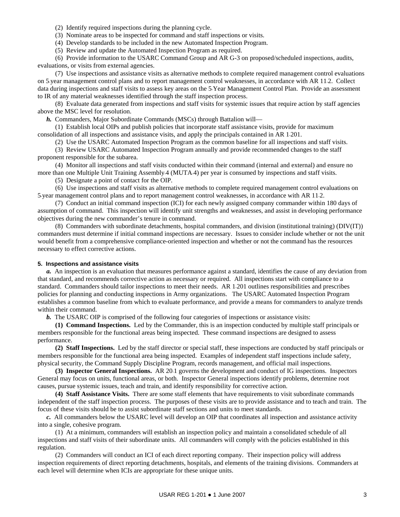- (2) Identify required inspections during the planning cycle.
- (3) Nominate areas to be inspected for command and staff inspections or visits.
- (4) Develop standards to be included in the new Automated Inspection Program.
- (5) Review and update the Automated Inspection Program as required.

 (6) Provide information to the USARC Command Group and AR G-3 on proposed/scheduled inspections, audits, evaluations, or visits from external agencies.

 (7) Use inspections and assistance visits as alternative methods to complete required management control evaluations on 5-year management control plans and to report management control weaknesses, in accordance with AR 11-2. Collect data during inspections and staff visits to assess key areas on the 5-Year Management Control Plan. Provide an assessment to IR of any material weaknesses identified through the staff inspection process.

 (8) Evaluate data generated from inspections and staff visits for systemic issues that require action by staff agencies above the MSC level for resolution.

*h.* Commanders, Major Subordinate Commands (MSCs) through Battalion will—

 (1) Establish local OIPs and publish policies that incorporate staff assistance visits, provide for maximum consolidation of all inspections and assistance visits, and apply the principals contained in AR 1-201.

(2) Use the USARC Automated Inspection Program as the common baseline for all inspections and staff visits.

 (3) Review USARC Automated Inspection Program annually and provide recommended changes to the staff proponent responsible for the subarea.

 (4) Monitor all inspections and staff visits conducted within their command (internal and external) and ensure no more than one Multiple Unit Training Assembly-4 (MUTA-4) per year is consumed by inspections and staff visits.

(5) Designate a point of contact for the OIP.

 (6) Use inspections and staff visits as alternative methods to complete required management control evaluations on 5-year management control plans and to report management control weaknesses, in accordance with AR 11-2.

 (7) Conduct an initial command inspection (ICI) for each newly assigned company commander within 180 days of assumption of command. This inspection will identify unit strengths and weaknesses, and assist in developing performance objectives during the new commander's tenure in command.

 (8) Commanders with subordinate detachments, hospital commanders, and division (institutional training) (DIV(IT)) commanders must determine if initial command inspections are necessary. Issues to consider include whether or not the unit would benefit from a comprehensive compliance-oriented inspection and whether or not the command has the resources necessary to effect corrective actions.

#### **5. Inspections and assistance visits**

*a.* An inspection is an evaluation that measures performance against a standard, identifies the cause of any deviation from that standard, and recommends corrective action as necessary or required. All inspections start with compliance to a standard. Commanders should tailor inspections to meet their needs. AR 1-201 outlines responsibilities and prescribes policies for planning and conducting inspections in Army organizations. The USARC Automated Inspection Program establishes a common baseline from which to evaluate performance, and provide a means for commanders to analyze trends within their command.

*b.* The USARC OIP is comprised of the following four categories of inspections or assistance visits:

 **(1) Command Inspections.** Led by the Commander, this is an inspection conducted by multiple staff principals or members responsible for the functional areas being inspected. These command inspections are designed to assess performance.

 **(2) Staff Inspections.** Led by the staff director or special staff, these inspections are conducted by staff principals or members responsible for the functional area being inspected. Examples of independent staff inspections include safety, physical security, the Command Supply Discipline Program, records management, and official mail inspections.

 **(3) Inspector General Inspections.** AR 20-1 governs the development and conduct of IG inspections. Inspectors General may focus on units, functional areas, or both. Inspector General inspections identify problems, determine root causes, pursue systemic issues, teach and train, and identify responsibility for corrective action.

 **(4) Staff Assistance Visits.** There are some staff elements that have requirements to visit subordinate commands independent of the staff inspection process. The purposes of these visits are to provide assistance and to teach and train. The focus of these visits should be to assist subordinate staff sections and units to meet standards.

*c.* All commanders below the USARC level will develop an OIP that coordinates all inspection and assistance activity into a single, cohesive program.

 (1) At a minimum, commanders will establish an inspection policy and maintain a consolidated schedule of all inspections and staff visits of their subordinate units. All commanders will comply with the policies established in this regulation.

 (2) Commanders will conduct an ICI of each direct reporting company. Their inspection policy will address inspection requirements of direct reporting detachments, hospitals, and elements of the training divisions. Commanders at each level will determine when ICIs are appropriate for these unique units.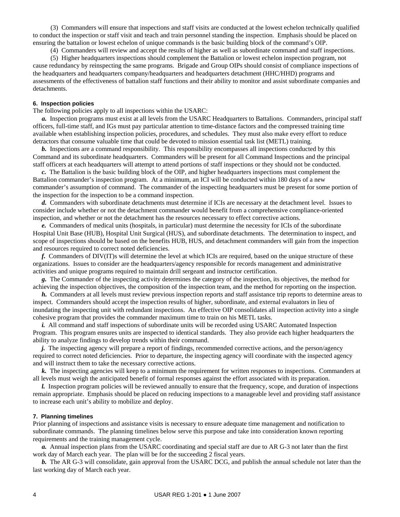(3) Commanders will ensure that inspections and staff visits are conducted at the lowest echelon technically qualified to conduct the inspection or staff visit and teach and train personnel standing the inspection. Emphasis should be placed on ensuring the battalion or lowest echelon of unique commands is the basic building block of the command's OIP.

(4) Commanders will review and accept the results of higher as well as subordinate command and staff inspections.

 (5) Higher headquarters inspections should complement the Battalion or lowest echelon inspection program, not cause redundancy by reinspecting the same programs. Brigade and Group OIPs should consist of compliance inspections of the headquarters and headquarters company/headquarters and headquarters detachment (HHC/HHD) programs and assessments of the effectiveness of battalion staff functions and their ability to monitor and assist subordinate companies and detachments.

#### **6. Inspection policies**

The following policies apply to all inspections within the USARC:

*a.* Inspection programs must exist at all levels from the USARC Headquarters to Battalions. Commanders, principal staff officers, full-time staff, and IGs must pay particular attention to time-distance factors and the compressed training time available when establishing inspection policies, procedures, and schedules. They must also make every effort to reduce detractors that consume valuable time that could be devoted to mission essential task list (METL) training.

*b.* Inspections are a command responsibility. This responsibility encompasses all inspections conducted by this Command and its subordinate headquarters. Commanders will be present for all Command Inspections and the principal staff officers at each headquarters will attempt to attend portions of staff inspections or they should not be conducted.

*c.* The Battalion is the basic building block of the OIP, and higher headquarters inspections must complement the Battalion commander's inspection program. At a minimum, an ICI will be conducted within 180 days of a new commander's assumption of command. The commander of the inspecting headquarters must be present for some portion of the inspection for the inspection to be a command inspection.

*d.* Commanders with subordinate detachments must determine if ICIs are necessary at the detachment level. Issues to consider include whether or not the detachment commander would benefit from a comprehensive compliance-oriented inspection, and whether or not the detachment has the resources necessary to effect corrective actions.

*e.* Commanders of medical units (hospitals, in particular) must determine the necessity for ICIs of the subordinate Hospital Unit Base (HUB), Hospital Unit Surgical (HUS), and subordinate detachments. The determination to inspect, and scope of inspections should be based on the benefits HUB, HUS, and detachment commanders will gain from the inspection and resources required to correct noted deficiencies.

*f.* Commanders of DIV(IT)s will determine the level at which ICIs are required, based on the unique structure of these organizations. Issues to consider are the headquarters/agency responsible for records management and administrative activities and unique programs required to maintain drill sergeant and instructor certification.

*g.* The Commander of the inspecting activity determines the category of the inspection, its objectives, the method for achieving the inspection objectives, the composition of the inspection team, and the method for reporting on the inspection.

*h.* Commanders at all levels must review previous inspection reports and staff assistance trip reports to determine areas to inspect. Commanders should accept the inspection results of higher, subordinate, and external evaluators in lieu of inundating the inspecting unit with redundant inspections. An effective OIP consolidates all inspection activity into a single cohesive program that provides the commander maximum time to train on his METL tasks.

*i.* All command and staff inspections of subordinate units will be recorded using USARC Automated Inspection Program. This program ensures units are inspected to identical standards. They also provide each higher headquarters the ability to analyze findings to develop trends within their command.

*j*. The inspecting agency will prepare a report of findings, recommended corrective actions, and the person/agency required to correct noted deficiencies. Prior to departure, the inspecting agency will coordinate with the inspected agency and will instruct them to take the necessary corrective actions.

*k.* The inspecting agencies will keep to a minimum the requirement for written responses to inspections. Commanders at all levels must weigh the anticipated benefit of formal responses against the effort associated with its preparation.

*l.* Inspection program policies will be reviewed annually to ensure that the frequency, scope, and duration of inspections remain appropriate. Emphasis should be placed on reducing inspections to a manageable level and providing staff assistance to increase each unit's ability to mobilize and deploy.

#### **7. Planning timelines**

Prior planning of inspections and assistance visits is necessary to ensure adequate time management and notification to subordinate commands. The planning timelines below serve this purpose and take into consideration known reporting requirements and the training management cycle.

*a.* Annual inspection plans from the USARC coordinating and special staff are due to AR G-3 not later than the first work day of March each year. The plan will be for the succeeding 2 fiscal years.

*b.* The AR G-3 will consolidate, gain approval from the USARC DCG, and publish the annual schedule not later than the last working day of March each year.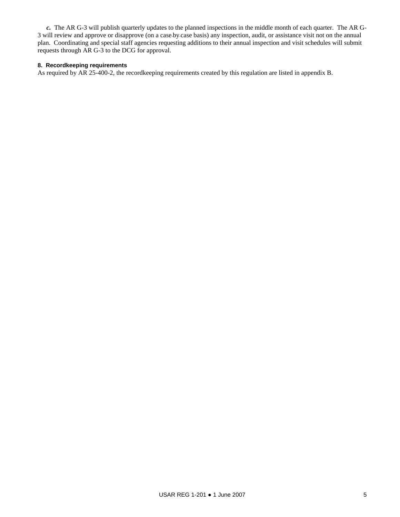*c.* The AR G-3 will publish quarterly updates to the planned inspections in the middle month of each quarter. The AR G-3 will review and approve or disapprove (on a case-by-case basis) any inspection, audit, or assistance visit not on the annual plan. Coordinating and special staff agencies requesting additions to their annual inspection and visit schedules will submit requests through AR G-3 to the DCG for approval.

## **8. Recordkeeping requirements**

As required by AR 25-400-2, the recordkeeping requirements created by this regulation are listed in appendix B.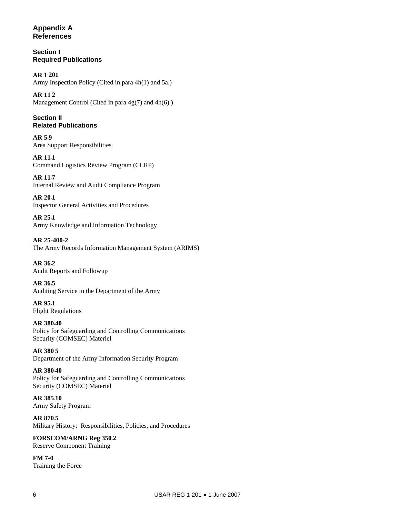# **Appendix A References**

**Section I Required Publications** 

**AR 1**-**201**  Army Inspection Policy (Cited in para 4h(1) and 5a.)

**AR 11**-**2**  Management Control (Cited in para 4g(7) and 4h(6).)

**Section II Related Publications** 

**AR 5**-**9**  Area Support Responsibilities

**AR 11**-**1**  Command Logistics Review Program (CLRP)

**AR 11**-**7**  Internal Review and Audit Compliance Program

**AR 20**-**1**  Inspector General Activities and Procedures

**AR 25**-**1**  Army Knowledge and Information Technology

**AR 25-400-2**  The Army Records Information Management System (ARIMS)

**AR 36**-**2**  Audit Reports and Followup

**AR 36**-**5**  Auditing Service in the Department of the Army

**AR 95**-**1**  Flight Regulations

**AR 380**-**40**  Policy for Safeguarding and Controlling Communications Security (COMSEC) Materiel

**AR 380**-**5**  Department of the Army Information Security Program

**AR 380**-**40**  Policy for Safeguarding and Controlling Communications Security (COMSEC) Materiel

**AR 385**-**10**  Army Safety Program

**AR 870**-**5**  Military History: Responsibilities, Policies, and Procedures

**FORSCOM/ARNG Reg 350**-**2**  Reserve Component Training

**FM 7-0**  Training the Force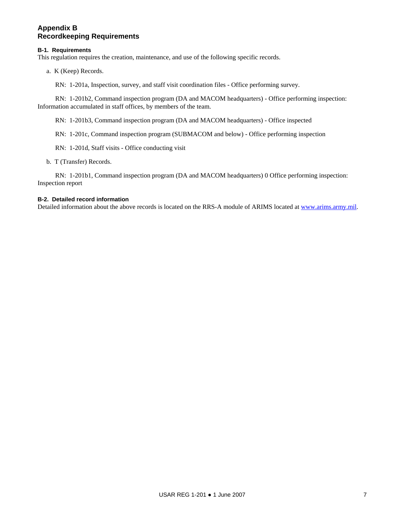# **Appendix B Recordkeeping Requirements**

### **B-1. Requirements**

This regulation requires the creation, maintenance, and use of the following specific records.

a. K (Keep) Records.

RN: 1-201a, Inspection, survey, and staff visit coordination files - Office performing survey.

 RN: 1-201b2, Command inspection program (DA and MACOM headquarters) - Office performing inspection: Information accumulated in staff offices, by members of the team.

RN: 1-201b3, Command inspection program (DA and MACOM headquarters) - Office inspected

RN: 1-201c, Command inspection program (SUBMACOM and below) - Office performing inspection

RN: 1-201d, Staff visits - Office conducting visit

b. T (Transfer) Records.

 RN: 1-201b1, Command inspection program (DA and MACOM headquarters) 0 Office performing inspection: Inspection report

# **B-2. Detailed record information**

Detailed information about the above records is located on the RRS-A module of ARIMS located at www.arims.army.mil.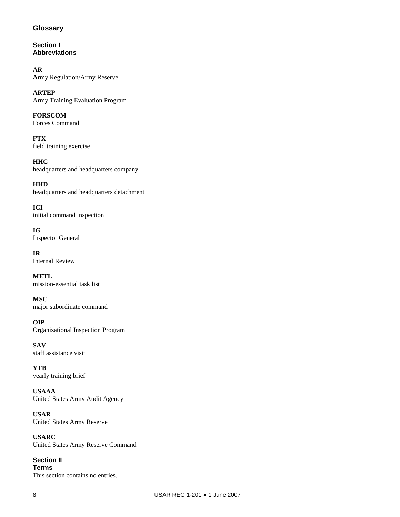# **Glossary**

**Section I Abbreviations** 

**AR A**rmy Regulation/Army Reserve

**ARTEP**  Army Training Evaluation Program

**FORSCOM**  Forces Command

**FTX**  field training exercise

**HHC**  headquarters and headquarters company

**HHD**  headquarters and headquarters detachment

**ICI**  initial command inspection

**IG**  Inspector General

**IR**  Internal Review

**METL**  mission-essential task list

**MSC**  major subordinate command

**OIP**  Organizational Inspection Program

**SAV**  staff assistance visit

**YTB**  yearly training brief

**USAAA**  United States Army Audit Agency

**USAR**  United States Army Reserve

**USARC**  United States Army Reserve Command

**Section II Terms**  This section contains no entries.